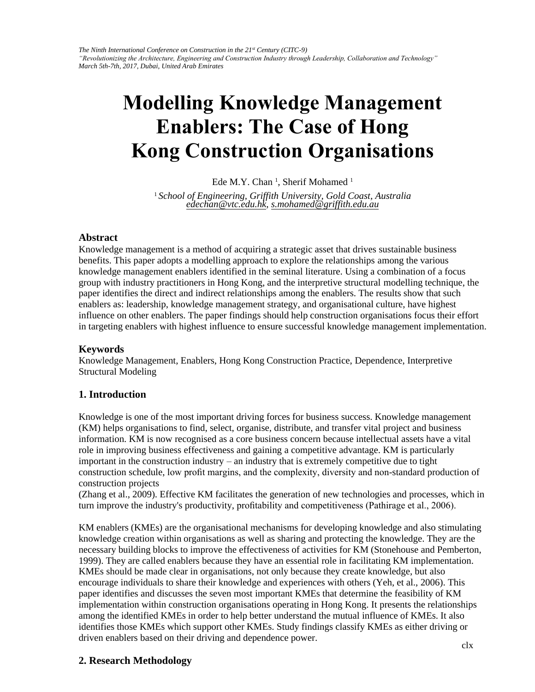*The Ninth International Conference on Construction in the 21st Century (CITC-9) "Revolutionizing the Architecture, Engineering and Construction Industry through Leadership, Collaboration and Technology" March 5th-7th, 2017, Dubai, United Arab Emirates* 

# **Modelling Knowledge Management Enablers: The Case of Hong Kong [Construc](mailto:edechan@vtc.edu.hk)[tion Organisa](mailto:s.mohamed@gu.edu.au)tions**

Ede M.Y. Chan<sup>1</sup>, Sherif Mohamed<sup>1</sup>

<sup>1</sup>*School of Engineering, Griffith University, Gold Coast, Australia edechan@vtc.edu.hk, s.mohamed@griffith.edu.au* 

### **Abstract**

Knowledge management is a method of acquiring a strategic asset that drives sustainable business benefits. This paper adopts a modelling approach to explore the relationships among the various knowledge management enablers identified in the seminal literature. Using a combination of a focus group with industry practitioners in Hong Kong, and the interpretive structural modelling technique, the paper identifies the direct and indirect relationships among the enablers. The results show that such enablers as: leadership, knowledge management strategy, and organisational culture, have highest influence on other enablers. The paper findings should help construction organisations focus their effort in targeting enablers with highest influence to ensure successful knowledge management implementation.

## **Keywords**

Knowledge Management, Enablers, Hong Kong Construction Practice, Dependence, Interpretive Structural Modeling

## **1. Introduction**

Knowledge is one of the most important driving forces for business success. Knowledge management (KM) helps organisations to find, select, organise, distribute, and transfer vital project and business information. KM is now recognised as a core business concern because intellectual assets have a vital role in improving business effectiveness and gaining a competitive advantage. KM is particularly important in the construction industry – an industry that is extremely competitive due to tight construction schedule, low profit margins, and the complexity, diversity and non-standard production of construction projects

(Zhang et al., 2009). Effective KM facilitates the generation of new technologies and processes, which in turn improve the industry's productivity, profitability and competitiveness (Pathirage et al., 2006).

KM enablers (KMEs) are the organisational mechanisms for developing knowledge and also stimulating knowledge creation within organisations as well as sharing and protecting the knowledge. They are the necessary building blocks to improve the effectiveness of activities for KM (Stonehouse and Pemberton, 1999). They are called enablers because they have an essential role in facilitating KM implementation. KMEs should be made clear in organisations, not only because they create knowledge, but also encourage individuals to share their knowledge and experiences with others (Yeh, et al., 2006). This paper identifies and discusses the seven most important KMEs that determine the feasibility of KM implementation within construction organisations operating in Hong Kong. It presents the relationships among the identified KMEs in order to help better understand the mutual influence of KMEs. It also identifies those KMEs which support other KMEs. Study findings classify KMEs as either driving or driven enablers based on their driving and dependence power.

## **2. Research Methodology**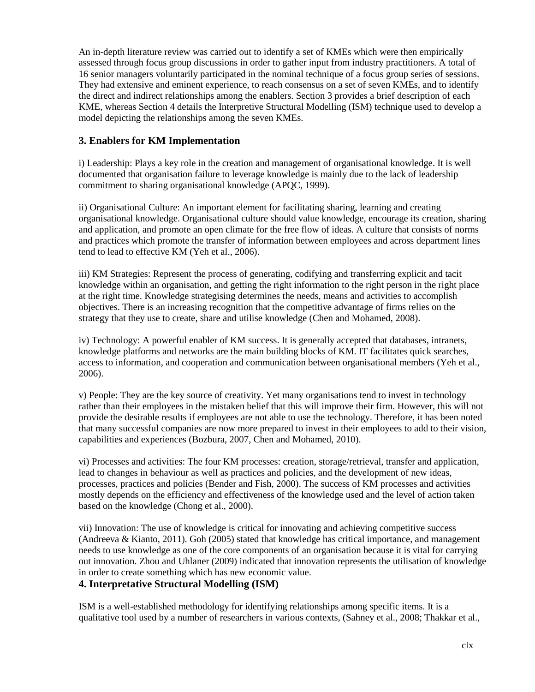An in-depth literature review was carried out to identify a set of KMEs which were then empirically assessed through focus group discussions in order to gather input from industry practitioners. A total of 16 senior managers voluntarily participated in the nominal technique of a focus group series of sessions. They had extensive and eminent experience, to reach consensus on a set of seven KMEs, and to identify the direct and indirect relationships among the enablers. Section 3 provides a brief description of each KME, whereas Section 4 details the Interpretive Structural Modelling (ISM) technique used to develop a model depicting the relationships among the seven KMEs.

## **3. Enablers for KM Implementation**

i) Leadership: Plays a key role in the creation and management of organisational knowledge. It is well documented that organisation failure to leverage knowledge is mainly due to the lack of leadership commitment to sharing organisational knowledge (APQC, 1999).

ii) Organisational Culture: An important element for facilitating sharing, learning and creating organisational knowledge. Organisational culture should value knowledge, encourage its creation, sharing and application, and promote an open climate for the free flow of ideas. A culture that consists of norms and practices which promote the transfer of information between employees and across department lines tend to lead to effective KM (Yeh et al., 2006).

iii) KM Strategies: Represent the process of generating, codifying and transferring explicit and tacit knowledge within an organisation, and getting the right information to the right person in the right place at the right time. Knowledge strategising determines the needs, means and activities to accomplish objectives. There is an increasing recognition that the competitive advantage of firms relies on the strategy that they use to create, share and utilise knowledge (Chen and Mohamed, 2008).

iv) Technology: A powerful enabler of KM success. It is generally accepted that databases, intranets, knowledge platforms and networks are the main building blocks of KM. IT facilitates quick searches, access to information, and cooperation and communication between organisational members (Yeh et al., 2006).

v) People: They are the key source of creativity. Yet many organisations tend to invest in technology rather than their employees in the mistaken belief that this will improve their firm. However, this will not provide the desirable results if employees are not able to use the technology. Therefore, it has been noted that many successful companies are now more prepared to invest in their employees to add to their vision, capabilities and experiences (Bozbura, 2007, Chen and Mohamed, 2010).

vi) Processes and activities: The four KM processes: creation, storage/retrieval, transfer and application, lead to changes in behaviour as well as practices and policies, and the development of new ideas, processes, practices and policies (Bender and Fish, 2000). The success of KM processes and activities mostly depends on the efficiency and effectiveness of the knowledge used and the level of action taken based on the knowledge (Chong et al., 2000).

vii) Innovation: The use of knowledge is critical for innovating and achieving competitive success (Andreeva & Kianto, 2011). Goh (2005) stated that knowledge has critical importance, and management needs to use knowledge as one of the core components of an organisation because it is vital for carrying out innovation. Zhou and Uhlaner (2009) indicated that innovation represents the utilisation of knowledge in order to create something which has new economic value.

## **4. Interpretative Structural Modelling (ISM)**

ISM is a well-established methodology for identifying relationships among specific items. It is a qualitative tool used by a number of researchers in various contexts, (Sahney et al., 2008; Thakkar et al.,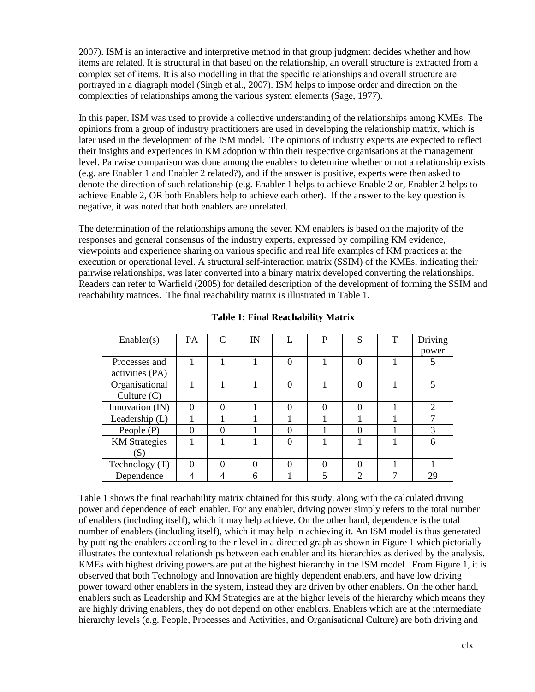2007). ISM is an interactive and interpretive method in that group judgment decides whether and how items are related. It is structural in that based on the relationship, an overall structure is extracted from a complex set of items. It is also modelling in that the specific relationships and overall structure are portrayed in a diagraph model (Singh et al., 2007). ISM helps to impose order and direction on the complexities of relationships among the various system elements (Sage, 1977).

In this paper, ISM was used to provide a collective understanding of the relationships among KMEs. The opinions from a group of industry practitioners are used in developing the relationship matrix, which is later used in the development of the ISM model. The opinions of industry experts are expected to reflect their insights and experiences in KM adoption within their respective organisations at the management level. Pairwise comparison was done among the enablers to determine whether or not a relationship exists (e.g. are Enabler 1 and Enabler 2 related?), and if the answer is positive, experts were then asked to denote the direction of such relationship (e.g. Enabler 1 helps to achieve Enable 2 or, Enabler 2 helps to achieve Enable 2, OR both Enablers help to achieve each other). If the answer to the key question is negative, it was noted that both enablers are unrelated.

The determination of the relationships among the seven KM enablers is based on the majority of the responses and general consensus of the industry experts, expressed by compiling KM evidence, viewpoints and experience sharing on various specific and real life examples of KM practices at the execution or operational level. A structural self-interaction matrix (SSIM) of the KMEs, indicating their pairwise relationships, was later converted into a binary matrix developed converting the relationships. Readers can refer to Warfield (2005) for detailed description of the development of forming the SSIM and reachability matrices. The final reachability matrix is illustrated in Table 1.

| Enabler(s)           | <b>PA</b> |          | IN       | P | S | T | Driving        |
|----------------------|-----------|----------|----------|---|---|---|----------------|
|                      |           |          |          |   |   |   | power          |
| Processes and        |           |          |          |   |   |   |                |
| activities (PA)      |           |          |          |   |   |   |                |
| Organisational       |           |          |          |   | 0 |   | 5              |
| Culture $(C)$        |           |          |          |   |   |   |                |
| Innovation (IN)      | 0         | 0        |          |   | 0 |   | $\mathfrak{D}$ |
| Leadership $(L)$     |           |          |          |   |   |   |                |
| People (P)           | 0         | $\Omega$ |          |   | 0 |   | 3              |
| <b>KM</b> Strategies |           |          |          |   |   |   | 6              |
| (S)                  |           |          |          |   |   |   |                |
| Technology (T)       | $\Omega$  | $\Omega$ | $\theta$ |   | 0 |   |                |
| Dependence           |           | 4        | 6        |   | ⌒ |   | 29             |

**Table 1: Final Reachability Matrix**

Table 1 shows the final reachability matrix obtained for this study, along with the calculated driving power and dependence of each enabler. For any enabler, driving power simply refers to the total number of enablers (including itself), which it may help achieve. On the other hand, dependence is the total number of enablers (including itself), which it may help in achieving it. An ISM model is thus generated by putting the enablers according to their level in a directed graph as shown in Figure 1 which pictorially illustrates the contextual relationships between each enabler and its hierarchies as derived by the analysis. KMEs with highest driving powers are put at the highest hierarchy in the ISM model. From Figure 1, it is observed that both Technology and Innovation are highly dependent enablers, and have low driving power toward other enablers in the system, instead they are driven by other enablers. On the other hand, enablers such as Leadership and KM Strategies are at the higher levels of the hierarchy which means they are highly driving enablers, they do not depend on other enablers. Enablers which are at the intermediate hierarchy levels (e.g. People, Processes and Activities, and Organisational Culture) are both driving and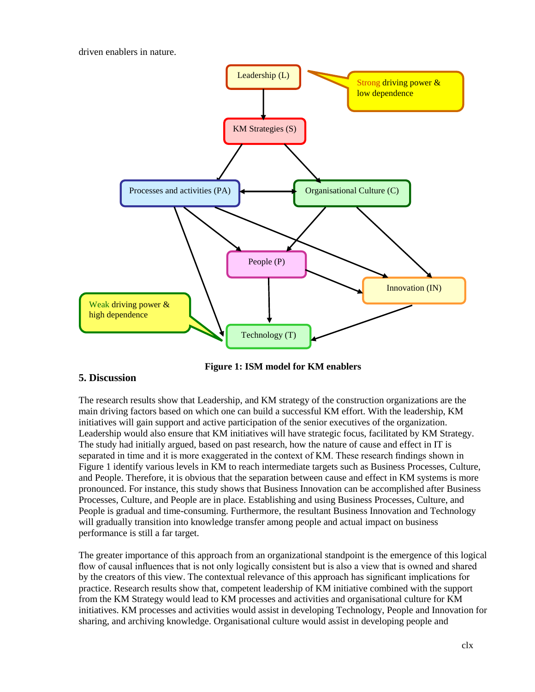driven enablers in nature.



**Figure 1: ISM model for KM enablers**

## **5. Discussion**

The research results show that Leadership, and KM strategy of the construction organizations are the main driving factors based on which one can build a successful KM effort. With the leadership, KM initiatives will gain support and active participation of the senior executives of the organization. Leadership would also ensure that KM initiatives will have strategic focus, facilitated by KM Strategy. The study had initially argued, based on past research, how the nature of cause and effect in IT is separated in time and it is more exaggerated in the context of KM. These research findings shown in Figure 1 identify various levels in KM to reach intermediate targets such as Business Processes, Culture, and People. Therefore, it is obvious that the separation between cause and effect in KM systems is more pronounced. For instance, this study shows that Business Innovation can be accomplished after Business Processes, Culture, and People are in place. Establishing and using Business Processes, Culture, and People is gradual and time-consuming. Furthermore, the resultant Business Innovation and Technology will gradually transition into knowledge transfer among people and actual impact on business performance is still a far target.

The greater importance of this approach from an organizational standpoint is the emergence of this logical flow of causal influences that is not only logically consistent but is also a view that is owned and shared by the creators of this view. The contextual relevance of this approach has significant implications for practice. Research results show that, competent leadership of KM initiative combined with the support from the KM Strategy would lead to KM processes and activities and organisational culture for KM initiatives. KM processes and activities would assist in developing Technology, People and Innovation for sharing, and archiving knowledge. Organisational culture would assist in developing people and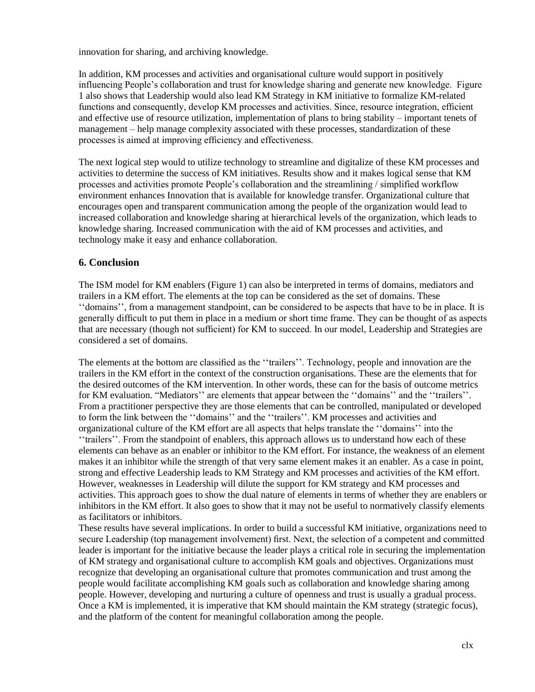innovation for sharing, and archiving knowledge.

In addition, KM processes and activities and organisational culture would support in positively influencing People's collaboration and trust for knowledge sharing and generate new knowledge. Figure 1 also shows that Leadership would also lead KM Strategy in KM initiative to formalize KM-related functions and consequently, develop KM processes and activities. Since, resource integration, efficient and effective use of resource utilization, implementation of plans to bring stability – important tenets of management – help manage complexity associated with these processes, standardization of these processes is aimed at improving efficiency and effectiveness.

The next logical step would to utilize technology to streamline and digitalize of these KM processes and activities to determine the success of KM initiatives. Results show and it makes logical sense that KM processes and activities promote People's collaboration and the streamlining / simplified workflow environment enhances Innovation that is available for knowledge transfer. Organizational culture that encourages open and transparent communication among the people of the organization would lead to increased collaboration and knowledge sharing at hierarchical levels of the organization, which leads to knowledge sharing. Increased communication with the aid of KM processes and activities, and technology make it easy and enhance collaboration.

## **6. Conclusion**

The ISM model for KM enablers (Figure 1) can also be interpreted in terms of domains, mediators and trailers in a KM effort. The elements at the top can be considered as the set of domains. These ''domains'', from a management standpoint, can be considered to be aspects that have to be in place. It is generally difficult to put them in place in a medium or short time frame. They can be thought of as aspects that are necessary (though not sufficient) for KM to succeed. In our model, Leadership and Strategies are considered a set of domains.

The elements at the bottom are classified as the ''trailers''. Technology, people and innovation are the trailers in the KM effort in the context of the construction organisations. These are the elements that for the desired outcomes of the KM intervention. In other words, these can for the basis of outcome metrics for KM evaluation. "Mediators'' are elements that appear between the ''domains'' and the ''trailers''. From a practitioner perspective they are those elements that can be controlled, manipulated or developed to form the link between the ''domains'' and the ''trailers''. KM processes and activities and organizational culture of the KM effort are all aspects that helps translate the ''domains'' into the ''trailers''. From the standpoint of enablers, this approach allows us to understand how each of these elements can behave as an enabler or inhibitor to the KM effort. For instance, the weakness of an element makes it an inhibitor while the strength of that very same element makes it an enabler. As a case in point, strong and effective Leadership leads to KM Strategy and KM processes and activities of the KM effort. However, weaknesses in Leadership will dilute the support for KM strategy and KM processes and activities. This approach goes to show the dual nature of elements in terms of whether they are enablers or inhibitors in the KM effort. It also goes to show that it may not be useful to normatively classify elements as facilitators or inhibitors.

These results have several implications. In order to build a successful KM initiative, organizations need to secure Leadership (top management involvement) first. Next, the selection of a competent and committed leader is important for the initiative because the leader plays a critical role in securing the implementation of KM strategy and organisational culture to accomplish KM goals and objectives. Organizations must recognize that developing an organisational culture that promotes communication and trust among the people would facilitate accomplishing KM goals such as collaboration and knowledge sharing among people. However, developing and nurturing a culture of openness and trust is usually a gradual process. Once a KM is implemented, it is imperative that KM should maintain the KM strategy (strategic focus), and the platform of the content for meaningful collaboration among the people.